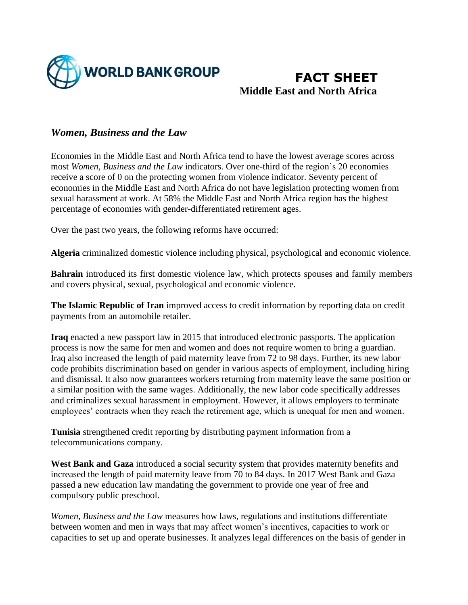

## **FACT SHEET Middle East and North Africa**

## *Women, Business and the Law*

Economies in the Middle East and North Africa tend to have the lowest average scores across most *Women, Business and the Law* indicators. Over one-third of the region's 20 economies receive a score of 0 on the protecting women from violence indicator. Seventy percent of economies in the Middle East and North Africa do not have legislation protecting women from sexual harassment at work. At 58% the Middle East and North Africa region has the highest percentage of economies with gender-differentiated retirement ages.

Over the past two years, the following reforms have occurred:

**Algeria** criminalized domestic violence including physical, psychological and economic violence.

**Bahrain** introduced its first domestic violence law, which protects spouses and family members and covers physical, sexual, psychological and economic violence.

**The Islamic Republic of Iran** improved access to credit information by reporting data on credit payments from an automobile retailer.

**Iraq** enacted a new passport law in 2015 that introduced electronic passports. The application process is now the same for men and women and does not require women to bring a guardian. Iraq also increased the length of paid maternity leave from 72 to 98 days. Further, its new labor code prohibits discrimination based on gender in various aspects of employment, including hiring and dismissal. It also now guarantees workers returning from maternity leave the same position or a similar position with the same wages. Additionally, the new labor code specifically addresses and criminalizes sexual harassment in employment. However, it allows employers to terminate employees' contracts when they reach the retirement age, which is unequal for men and women.

**Tunisia** strengthened credit reporting by distributing payment information from a telecommunications company.

**West Bank and Gaza** introduced a social security system that provides maternity benefits and increased the length of paid maternity leave from 70 to 84 days. In 2017 West Bank and Gaza passed a new education law mandating the government to provide one year of free and compulsory public preschool.

*Women, Business and the Law* measures how laws, regulations and institutions differentiate between women and men in ways that may affect women's incentives, capacities to work or capacities to set up and operate businesses. It analyzes legal differences on the basis of gender in